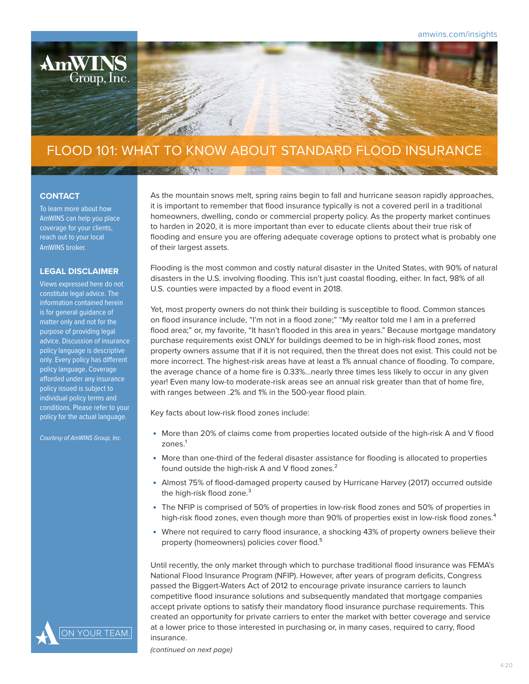# FLOOD 101: WHAT TO KNOW ABOUT STANDARD FLOOD INSURANCE

STORY AND THE

#### **CONTACT**

To learn more about how AmWINS can help you place coverage for your clients, reach out to your local AmWINS broker.

**AmWINS** 

 $\overline{\text{Group}}, \overline{\text{Inc}}.$ 

#### **LEGAL DISCLAIMER**

Views expressed here do not constitute legal advice. The information contained herein is for general guidance of matter only and not for the purpose of providing legal advice. Discussion of insurance policy language is descriptive only. Every policy has different policy language. Coverage afforded under any insurance policy issued is subject to individual policy terms and conditions. Please refer to your policy for the actual language.

*Courtesy of AmWINS Group, Inc.*



As the mountain snows melt, spring rains begin to fall and hurricane season rapidly approaches, it is important to remember that flood insurance typically is not a covered peril in a traditional homeowners, dwelling, condo or commercial property policy. As the property market continues to harden in 2020, it is more important than ever to educate clients about their true risk of flooding and ensure you are offering adequate coverage options to protect what is probably one of their largest assets.

The contract of the state of the

Flooding is the most common and costly natural disaster in the United States, with 90% of natural disasters in the U.S. involving flooding. This isn't just coastal flooding, either. In fact, 98% of all U.S. counties were impacted by a flood event in 2018.

Yet, most property owners do not think their building is susceptible to flood. Common stances on flood insurance include, "I'm not in a flood zone;" "My realtor told me I am in a preferred flood area;" or, my favorite, "It hasn't flooded in this area in years." Because mortgage mandatory purchase requirements exist ONLY for buildings deemed to be in high-risk flood zones, most property owners assume that if it is not required, then the threat does not exist. This could not be more incorrect. The highest-risk areas have at least a 1% annual chance of flooding. To compare, the average chance of a home fire is 0.33%...nearly three times less likely to occur in any given year! Even many low-to moderate-risk areas see an annual risk greater than that of home fire, with ranges between .2% and 1% in the 500-year flood plain.

Key facts about low-risk flood zones include:

- More than 20% of claims come from properties located outside of the high-risk A and V flood  $z$ ones. $<sup>1</sup>$ </sup>
- More than one-third of the federal disaster assistance for flooding is allocated to properties found outside the high-risk A and V flood zones.<sup>2</sup>
- Almost 75% of flood-damaged property caused by Hurricane Harvey (2017) occurred outside the high-risk flood zone.<sup>3</sup>
- The NFIP is comprised of 50% of properties in low-risk flood zones and 50% of properties in high-risk flood zones, even though more than 90% of properties exist in low-risk flood zones.<sup>4</sup>
- Where not required to carry flood insurance, a shocking 43% of property owners believe their property (homeowners) policies cover flood.<sup>5</sup>

Until recently, the only market through which to purchase traditional flood insurance was FEMA's National Flood Insurance Program (NFIP). However, after years of program deficits, Congress passed the Biggert-Waters Act of 2012 to encourage private insurance carriers to launch competitive flood insurance solutions and subsequently mandated that mortgage companies accept private options to satisfy their mandatory flood insurance purchase requirements. This created an opportunity for private carriers to enter the market with better coverage and service at a lower price to those interested in purchasing or, in many cases, required to carry, flood insurance.

*(continued on next page)*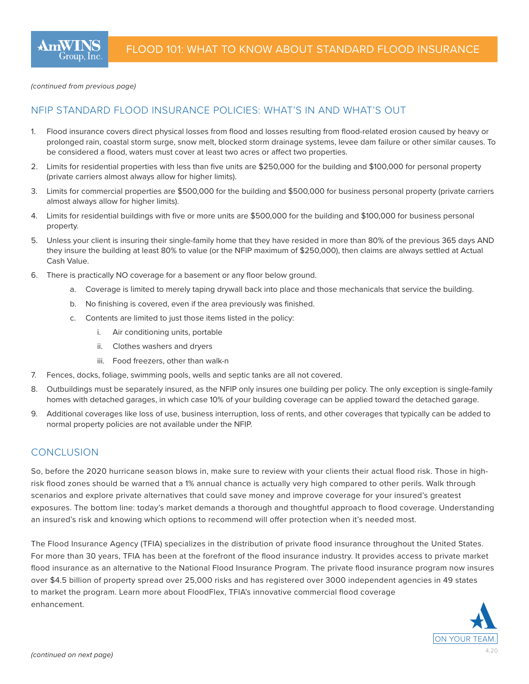*(continued from previous page)*

## NFIP STANDARD FLOOD INSURANCE POLICIES: WHAT'S IN AND WHAT'S OUT

- 1. Flood insurance covers direct physical losses from flood and losses resulting from flood-related erosion caused by heavy or prolonged rain, coastal storm surge, snow melt, blocked storm drainage systems, levee dam failure or other similar causes. To be considered a flood, waters must cover at least two acres or affect two properties.
- 2. Limits for residential properties with less than five units are \$250,000 for the building and \$100,000 for personal property (private carriers almost always allow for higher limits).
- 3. Limits for commercial properties are \$500,000 for the building and \$500,000 for business personal property (private carriers almost always allow for higher limits).
- 4. Limits for residential buildings with five or more units are \$500,000 for the building and \$100,000 for business personal property.
- 5. Unless your client is insuring their single-family home that they have resided in more than 80% of the previous 365 days AND they insure the building at least 80% to value (or the NFIP maximum of \$250,000), then claims are always settled at Actual Cash Value.
- 6. There is practically NO coverage for a basement or any floor below ground.
	- a. Coverage is limited to merely taping drywall back into place and those mechanicals that service the building.
	- b. No finishing is covered, even if the area previously was finished.
	- c. Contents are limited to just those items listed in the policy:
		- i. Air conditioning units, portable
		- ii. Clothes washers and dryers
		- iii. Food freezers, other than walk-n
- 7. Fences, docks, foliage, swimming pools, wells and septic tanks are all not covered.
- 8. Outbuildings must be separately insured, as the NFIP only insures one building per policy. The only exception is single-family homes with detached garages, in which case 10% of your building coverage can be applied toward the detached garage.
- 9. Additional coverages like loss of use, business interruption, loss of rents, and other coverages that typically can be added to normal property policies are not available under the NFIP.

### **CONCLUSION**

So, before the 2020 hurricane season blows in, make sure to review with your clients their actual flood risk. Those in highrisk flood zones should be warned that a 1% annual chance is actually very high compared to other perils. Walk through scenarios and explore private alternatives that could save money and improve coverage for your insured's greatest exposures. The bottom line: today's market demands a thorough and thoughtful approach to flood coverage. Understanding an insured's risk and knowing which options to recommend will offer protection when it's needed most.

The Flood Insurance Agency (TFIA) specializes in the distribution of private flood insurance throughout the United States. For more than 30 years, TFIA has been at the forefront of the flood insurance industry. It provides access to private market flood insurance as an alternative to the National Flood Insurance Program. The private flood insurance program now insures over \$4.5 billion of property spread over 25,000 risks and has registered over 3000 independent agencies in 49 states to market the program. Learn more about FloodFlex, TFIA's innovative commercial flood coverage enhancement.